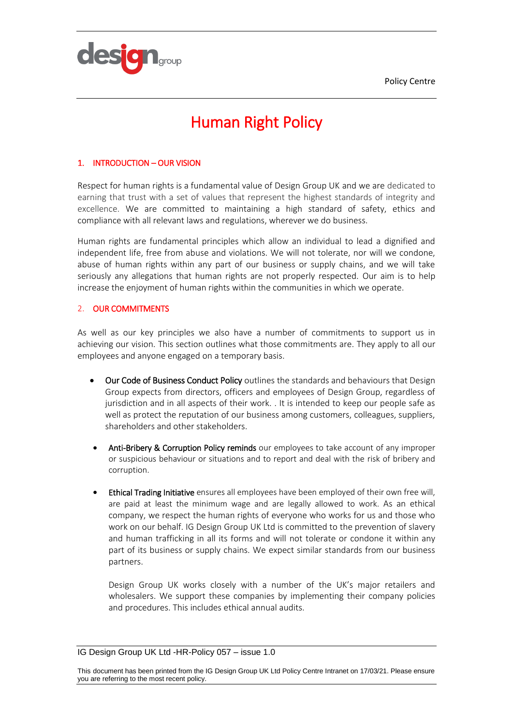Policy Centre



# Human Right Policy

## 1. INTRODUCTION – OUR VISION

Respect for human rights is a fundamental value of Design Group UK and we are dedicated to earning that trust with a set of values that represent the highest standards of integrity and excellence. We are committed to maintaining a high standard of safety, ethics and compliance with all relevant laws and regulations, wherever we do business.

Human rights are fundamental principles which allow an individual to lead a dignified and independent life, free from abuse and violations. We will not tolerate, nor will we condone, abuse of human rights within any part of our business or supply chains, and we will take seriously any allegations that human rights are not properly respected. Our aim is to help increase the enjoyment of human rights within the communities in which we operate.

### 2. OUR COMMITMENTS

As well as our key principles we also have a number of commitments to support us in achieving our vision. This section outlines what those commitments are. They apply to all our employees and anyone engaged on a temporary basis.

- Our Code of Business Conduct Policy outlines the standards and behaviours that Design Group expects from directors, officers and employees of Design Group, regardless of jurisdiction and in all aspects of their work. . It is intended to keep our people safe as well as protect the reputation of our business among customers, colleagues, suppliers, shareholders and other stakeholders.
- Anti-Bribery & Corruption Policy reminds our employees to take account of any improper or suspicious behaviour or situations and to report and deal with the risk of bribery and corruption.
- Ethical Trading Initiative ensures all employees have been employed of their own free will, are paid at least the minimum wage and are legally allowed to work. As an ethical company, we respect the human rights of everyone who works for us and those who work on our behalf. IG Design Group UK Ltd is committed to the prevention of slavery and human trafficking in all its forms and will not tolerate or condone it within any part of its business or supply chains. We expect similar standards from our business partners.

Design Group UK works closely with a number of the UK's major retailers and wholesalers. We support these companies by implementing their company policies and procedures. This includes ethical annual audits.

IG Design Group UK Ltd -HR-Policy 057 – issue 1.0

This document has been printed from the IG Design Group UK Ltd Policy Centre Intranet on 17/03/21. Please ensure you are referring to the most recent policy.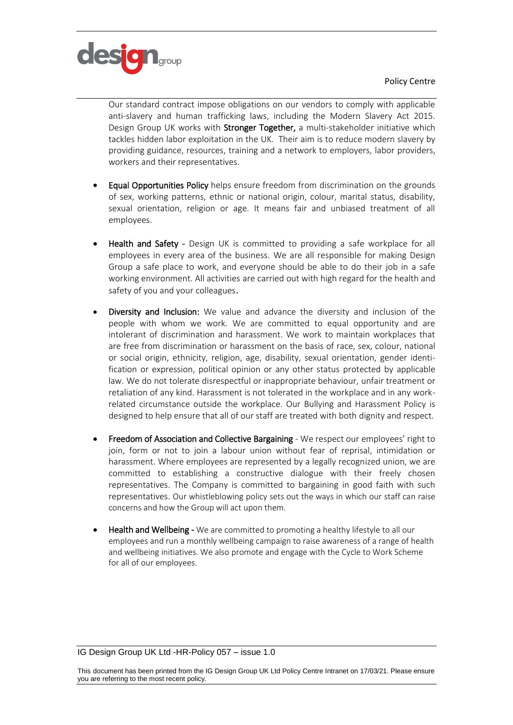



Our standard contract impose obligations on our vendors to comply with applicable anti-slavery and human trafficking laws, including the Modern Slavery Act 2015. Design Group UK works with **Stronger Together**, a multi-stakeholder initiative which tackles hidden labor exploitation in the UK. Their aim is to reduce modern slavery by providing guidance, resources, training and a network to employers, labor providers, workers and their representatives.

- Equal Opportunities Policy helps ensure freedom from discrimination on the grounds of sex, working patterns, ethnic or national origin, colour, marital status, disability, sexual orientation, religion or age. It means fair and unbiased treatment of all employees.
- Health and Safety Design UK is committed to providing a safe workplace for all employees in every area of the business. We are all responsible for making Design Group a safe place to work, and everyone should be able to do their job in a safe working environment. All activities are carried out with high regard for the health and safety of you and your colleagues.
- Diversity and Inclusion: We value and advance the diversity and inclusion of the people with whom we work. We are committed to equal opportunity and are intolerant of discrimination and harassment. We work to maintain workplaces that are free from discrimination or harassment on the basis of race, sex, colour, national or social origin, ethnicity, religion, age, disability, sexual orientation, gender identification or expression, political opinion or any other status protected by applicable law. We do not tolerate disrespectful or inappropriate behaviour, unfair treatment or retaliation of any kind. Harassment is not tolerated in the workplace and in any workrelated circumstance outside the workplace. Our Bullying and Harassment Policy is designed to help ensure that all of our staff are treated with both dignity and respect.
- Freedom of Association and Collective Bargaining We respect our employees' right to join, form or not to join a labour union without fear of reprisal, intimidation or harassment. Where employees are represented by a legally recognized union, we are committed to establishing a constructive dialogue with their freely chosen representatives. The Company is committed to bargaining in good faith with such representatives. Our whistleblowing policy sets out the ways in which our staff can raise concerns and how the Group will act upon them.
- Health and Wellbeing We are committed to promoting a healthy lifestyle to all our employees and run a monthly wellbeing campaign to raise awareness of a range of health and wellbeing initiatives. We also promote and engage with the Cycle to Work Scheme for all of our employees.